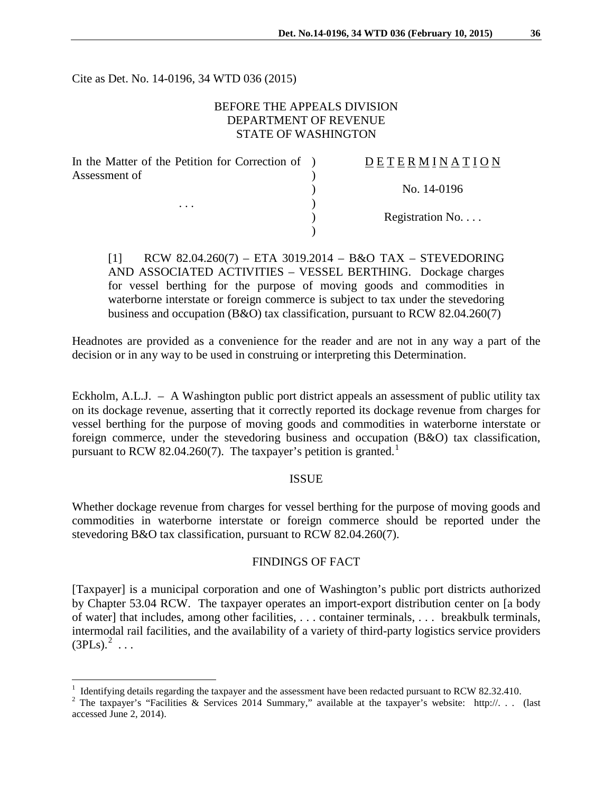Cite as Det. No. 14-0196, 34 WTD 036 (2015)

# BEFORE THE APPEALS DIVISION DEPARTMENT OF REVENUE STATE OF WASHINGTON

| In the Matter of the Petition for Correction of | DETERMINATION            |
|-------------------------------------------------|--------------------------|
| Assessment of<br>$\cdots$                       |                          |
|                                                 | No. 14-0196              |
|                                                 |                          |
|                                                 | Registration No. $\dots$ |
|                                                 |                          |

[1] RCW 82.04.260(7) – ETA 3019.2014 – B&O TAX – STEVEDORING AND ASSOCIATED ACTIVITIES – VESSEL BERTHING. Dockage charges for vessel berthing for the purpose of moving goods and commodities in waterborne interstate or foreign commerce is subject to tax under the stevedoring business and occupation (B&O) tax classification, pursuant to RCW 82.04.260(7)

Headnotes are provided as a convenience for the reader and are not in any way a part of the decision or in any way to be used in construing or interpreting this Determination.

Eckholm, A.L.J. – A Washington public port district appeals an assessment of public utility tax on its dockage revenue, asserting that it correctly reported its dockage revenue from charges for vessel berthing for the purpose of moving goods and commodities in waterborne interstate or foreign commerce, under the stevedoring business and occupation (B&O) tax classification, pursuant to RCW 82.04.260(7). The taxpayer's petition is granted.<sup>[1](#page-0-0)</sup>

### ISSUE

Whether dockage revenue from charges for vessel berthing for the purpose of moving goods and commodities in waterborne interstate or foreign commerce should be reported under the stevedoring B&O tax classification, pursuant to RCW 82.04.260(7).

# FINDINGS OF FACT

[Taxpayer] is a municipal corporation and one of Washington's public port districts authorized by Chapter 53.04 RCW. The taxpayer operates an import-export distribution center on [a body of water] that includes, among other facilities, . . . container terminals, . . . breakbulk terminals, intermodal rail facilities, and the availability of a variety of third-party logistics service providers  $(\text{3PLs})^2$  $(\text{3PLs})^2$  ...

<span id="page-0-0"></span><sup>&</sup>lt;sup>1</sup> Identifying details regarding the taxpayer and the assessment have been redacted pursuant to RCW 82.32.410.

<span id="page-0-1"></span><sup>&</sup>lt;sup>2</sup> The taxpayer's "Facilities & Services 2014 Summary," available at the taxpayer's website: http://. . . (last accessed June 2, 2014).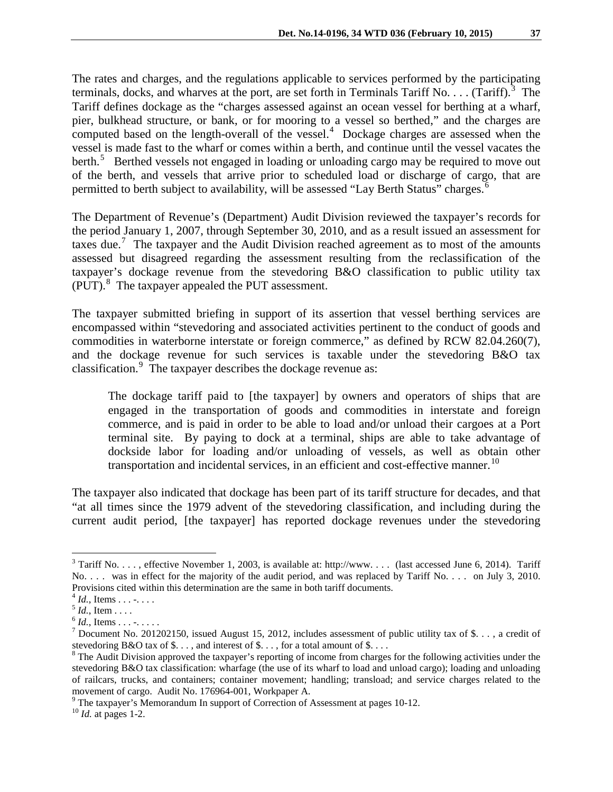The rates and charges, and the regulations applicable to services performed by the participating terminals, docks, and wharves at the port, are set forth in Terminals Tariff No. . . . (Tariff).<sup>[3](#page-1-0)</sup> The Tariff defines dockage as the "charges assessed against an ocean vessel for berthing at a wharf, pier, bulkhead structure, or bank, or for mooring to a vessel so berthed," and the charges are computed based on the length-overall of the vessel. $4$  Dockage charges are assessed when the vessel is made fast to the wharf or comes within a berth, and continue until the vessel vacates the berth.<sup>[5](#page-1-2)</sup> Berthed vessels not engaged in loading or unloading cargo may be required to move out of the berth, and vessels that arrive prior to scheduled load or discharge of cargo, that are permitted to berth subject to availability, will be assessed "Lay Berth Status" charges.<sup>[6](#page-1-3)</sup>

The Department of Revenue's (Department) Audit Division reviewed the taxpayer's records for the period January 1, 2007, through September 30, 2010, and as a result issued an assessment for taxes due.<sup>[7](#page-1-4)</sup> The taxpayer and the Audit Division reached agreement as to most of the amounts assessed but disagreed regarding the assessment resulting from the reclassification of the taxpayer's dockage revenue from the stevedoring B&O classification to public utility tax (PUT).<sup>[8](#page-1-5)</sup> The taxpayer appealed the PUT assessment.

The taxpayer submitted briefing in support of its assertion that vessel berthing services are encompassed within "stevedoring and associated activities pertinent to the conduct of goods and commodities in waterborne interstate or foreign commerce," as defined by RCW 82.04.260(7), and the dockage revenue for such services is taxable under the stevedoring B&O tax classification.<sup>[9](#page-1-6)</sup> The taxpayer describes the dockage revenue as:

The dockage tariff paid to [the taxpayer] by owners and operators of ships that are engaged in the transportation of goods and commodities in interstate and foreign commerce, and is paid in order to be able to load and/or unload their cargoes at a Port terminal site. By paying to dock at a terminal, ships are able to take advantage of dockside labor for loading and/or unloading of vessels, as well as obtain other transportation and incidental services, in an efficient and cost-effective manner.<sup>10</sup>

The taxpayer also indicated that dockage has been part of its tariff structure for decades, and that "at all times since the 1979 advent of the stevedoring classification, and including during the current audit period, [the taxpayer] has reported dockage revenues under the stevedoring

 $\overline{a}$ 

<span id="page-1-0"></span> $3$  Tariff No. . . . , effective November 1, 2003, is available at: http://www. . . . (last accessed June 6, 2014). Tariff No. . . . was in effect for the majority of the audit period, and was replaced by Tariff No. . . . on July 3, 2010. Provisions cited within this determination are the same in both tariff documents.<br> $4 \text{ Id.}$  Items . . . . . . .

<span id="page-1-1"></span>

<span id="page-1-4"></span>

<span id="page-1-3"></span><span id="page-1-2"></span><sup>&</sup>lt;sup>5</sup> *Id.*, Item . . . .<br>
<sup>6</sup> *Id.*, Items . . . - . . . . .<br>
<sup>7</sup> Document No. 201202150, issued August 15, 2012, includes assessment of public utility tax of \$. . . , a credit of stevedoring B&O tax of  $\$\dots$ , and interest of  $\$\dots$ , for a total amount of  $\$\dots$ .

<span id="page-1-5"></span><sup>&</sup>lt;sup>8</sup> The Audit Division approved the taxpayer's reporting of income from charges for the following activities under the stevedoring B&O tax classification: wharfage (the use of its wharf to load and unload cargo); loading and unloading of railcars, trucks, and containers; container movement; handling; transload; and service charges related to the movement of cargo. Audit No. 176964-001, Workpaper A.<br><sup>9</sup> The taxpayer's Memorandum In support of Correction of Assessment at pages 10-12.<br><sup>10</sup> *Id.* at pages 1-2.

<span id="page-1-7"></span><span id="page-1-6"></span>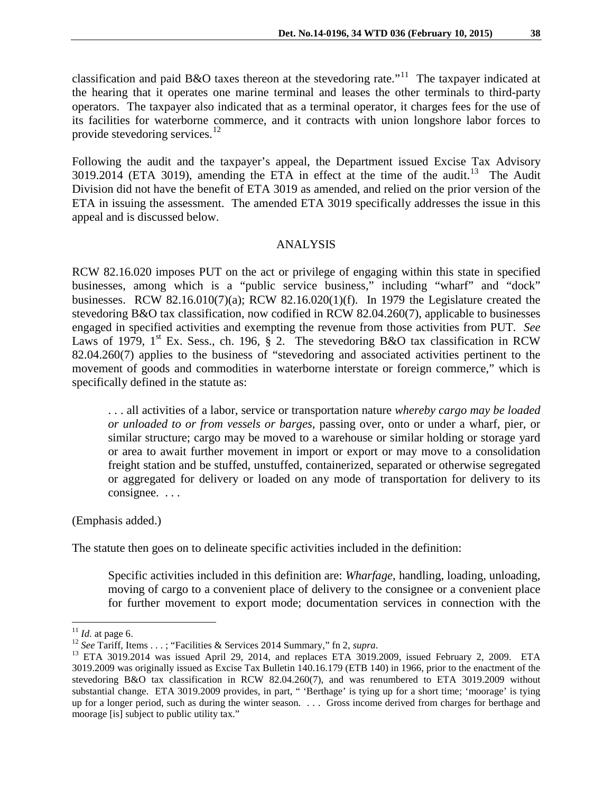classification and paid B&O taxes thereon at the stevedoring rate."<sup>[11](#page-2-0)</sup> The taxpayer indicated at the hearing that it operates one marine terminal and leases the other terminals to third-party operators. The taxpayer also indicated that as a terminal operator, it charges fees for the use of its facilities for waterborne commerce, and it contracts with union longshore labor forces to provide stevedoring services. $12$ 

Following the audit and the taxpayer's appeal, the Department issued Excise Tax Advisory 3019.2014 (ETA 3019), amending the ETA in effect at the time of the audit.<sup>[13](#page-2-2)</sup> The Audit Division did not have the benefit of ETA 3019 as amended, and relied on the prior version of the ETA in issuing the assessment. The amended ETA 3019 specifically addresses the issue in this appeal and is discussed below.

#### ANALYSIS

RCW 82.16.020 imposes PUT on the act or privilege of engaging within this state in specified businesses, among which is a "public service business," including "wharf" and "dock" businesses. RCW 82.16.010(7)(a); RCW 82.16.020(1)(f). In 1979 the Legislature created the stevedoring B&O tax classification, now codified in RCW 82.04.260(7), applicable to businesses engaged in specified activities and exempting the revenue from those activities from PUT. *See*  Laws of 1979, 1<sup>st</sup> Ex. Sess., ch. 196, § 2. The stevedoring B&O tax classification in RCW 82.04.260(7) applies to the business of "stevedoring and associated activities pertinent to the movement of goods and commodities in waterborne interstate or foreign commerce," which is specifically defined in the statute as:

. . . all activities of a labor, service or transportation nature *whereby cargo may be loaded or unloaded to or from vessels or barges*, passing over, onto or under a wharf, pier, or similar structure; cargo may be moved to a warehouse or similar holding or storage yard or area to await further movement in import or export or may move to a consolidation freight station and be stuffed, unstuffed, containerized, separated or otherwise segregated or aggregated for delivery or loaded on any mode of transportation for delivery to its consignee. . . .

(Emphasis added.)

The statute then goes on to delineate specific activities included in the definition:

Specific activities included in this definition are: *Wharfage*, handling, loading, unloading, moving of cargo to a convenient place of delivery to the consignee or a convenient place for further movement to export mode; documentation services in connection with the

 $11$  *Id.* at page 6.

<span id="page-2-2"></span><span id="page-2-1"></span><span id="page-2-0"></span><sup>12</sup> *See* Tariff, Items . . . ; "Facilities & Services 2014 Summary," fn 2, *supra*.<br><sup>13</sup> ETA 3019.2014 was issued April 29, 2014, and replaces ETA 3019.2009, issued February 2, 2009. ETA 3019.2009 was originally issued as Excise Tax Bulletin 140.16.179 (ETB 140) in 1966, prior to the enactment of the stevedoring B&O tax classification in RCW 82.04.260(7), and was renumbered to ETA 3019.2009 without substantial change. ETA 3019.2009 provides, in part, " 'Berthage' is tying up for a short time; 'moorage' is tying up for a longer period, such as during the winter season. . . . Gross income derived from charges for berthage and moorage [is] subject to public utility tax."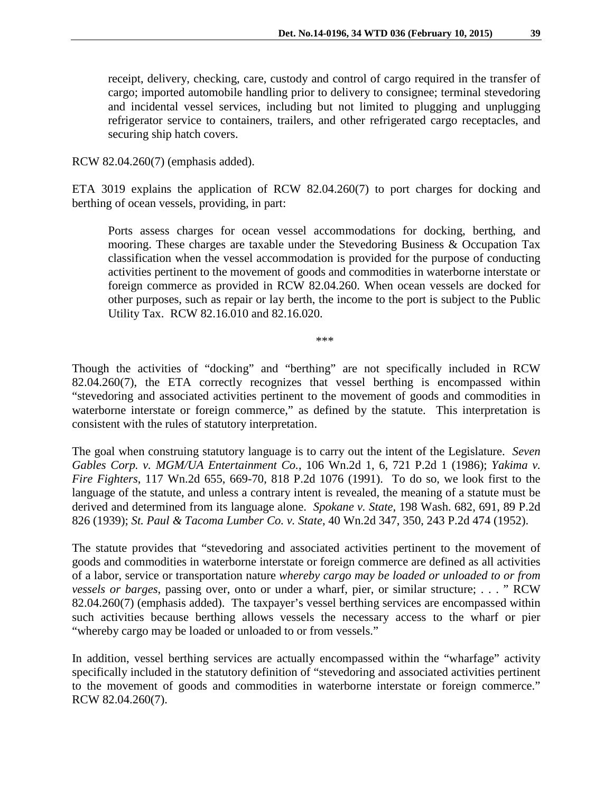receipt, delivery, checking, care, custody and control of cargo required in the transfer of cargo; imported automobile handling prior to delivery to consignee; terminal stevedoring and incidental vessel services, including but not limited to plugging and unplugging refrigerator service to containers, trailers, and other refrigerated cargo receptacles, and securing ship hatch covers.

RCW 82.04.260(7) (emphasis added).

ETA 3019 explains the application of RCW 82.04.260(7) to port charges for docking and berthing of ocean vessels, providing, in part:

Ports assess charges for ocean vessel accommodations for docking, berthing, and mooring. These charges are taxable under the Stevedoring Business & Occupation Tax classification when the vessel accommodation is provided for the purpose of conducting activities pertinent to the movement of goods and commodities in waterborne interstate or foreign commerce as provided in RCW 82.04.260. When ocean vessels are docked for other purposes, such as repair or lay berth, the income to the port is subject to the Public Utility Tax. RCW 82.16.010 and 82.16.020.

*\*\*\**

Though the activities of "docking" and "berthing" are not specifically included in RCW 82.04.260(7), the ETA correctly recognizes that vessel berthing is encompassed within "stevedoring and associated activities pertinent to the movement of goods and commodities in waterborne interstate or foreign commerce," as defined by the statute. This interpretation is consistent with the rules of statutory interpretation.

The goal when construing statutory language is to carry out the intent of the Legislature. *Seven Gables Corp. v. MGM/UA Entertainment Co.*, 106 Wn.2d 1, 6, 721 P.2d 1 (1986); *Yakima v. Fire Fighters*, 117 Wn.2d 655, 669-70, 818 P.2d 1076 (1991). To do so, we look first to the language of the statute, and unless a contrary intent is revealed, the meaning of a statute must be derived and determined from its language alone. *Spokane v. State*, 198 Wash. 682, 691, 89 P.2d 826 (1939); *St. Paul & Tacoma Lumber Co. v. State*, 40 Wn.2d 347, 350, 243 P.2d 474 (1952).

The statute provides that "stevedoring and associated activities pertinent to the movement of goods and commodities in waterborne interstate or foreign commerce are defined as all activities of a labor, service or transportation nature *whereby cargo may be loaded or unloaded to or from vessels or barges*, passing over, onto or under a wharf, pier, or similar structure; . . . " RCW 82.04.260(7) (emphasis added). The taxpayer's vessel berthing services are encompassed within such activities because berthing allows vessels the necessary access to the wharf or pier "whereby cargo may be loaded or unloaded to or from vessels."

In addition, vessel berthing services are actually encompassed within the "wharfage" activity specifically included in the statutory definition of "stevedoring and associated activities pertinent to the movement of goods and commodities in waterborne interstate or foreign commerce." RCW 82.04.260(7).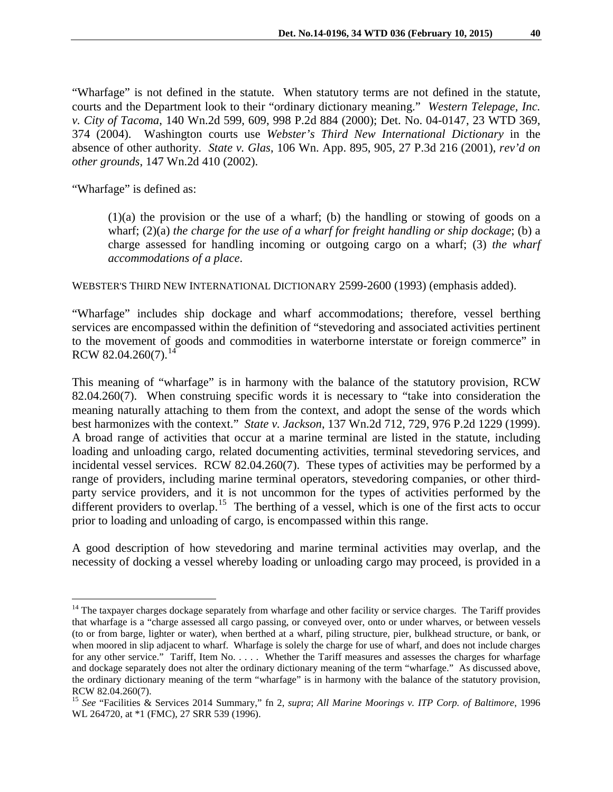"Wharfage" is not defined in the statute. When statutory terms are not defined in the statute, courts and the Department look to their "ordinary dictionary meaning." *Western Telepage, Inc. v. City of Tacoma*, 140 Wn.2d 599, 609, 998 P.2d 884 (2000); Det. No. 04-0147, 23 WTD 369, 374 (2004). Washington courts use *Webster's Third New International Dictionary* in the absence of other authority. *State v. Glas*, 106 Wn. App. 895, 905, 27 P.3d 216 (2001), *rev'd on other grounds*, 147 Wn.2d 410 (2002).

"Wharfage" is defined as:

 $\overline{a}$ 

(1)(a) the provision or the use of a wharf; (b) the handling or stowing of goods on a wharf; (2)(a) *the charge for the use of a wharf for freight handling or ship dockage*; (b) a charge assessed for handling incoming or outgoing cargo on a wharf; (3) *the wharf accommodations of a place*.

WEBSTER'S THIRD NEW INTERNATIONAL DICTIONARY 2599-2600 (1993) (emphasis added).

"Wharfage" includes ship dockage and wharf accommodations; therefore, vessel berthing services are encompassed within the definition of "stevedoring and associated activities pertinent to the movement of goods and commodities in waterborne interstate or foreign commerce" in RCW 82.04.260(7). $14$ 

This meaning of "wharfage" is in harmony with the balance of the statutory provision, RCW 82.04.260(7). When construing specific words it is necessary to "take into consideration the meaning naturally attaching to them from the context, and adopt the sense of the words which best harmonizes with the context." *State v. Jackson*, 137 Wn.2d 712, 729, 976 P.2d 1229 (1999). A broad range of activities that occur at a marine terminal are listed in the statute, including loading and unloading cargo, related documenting activities, terminal stevedoring services, and incidental vessel services. RCW 82.04.260(7). These types of activities may be performed by a range of providers, including marine terminal operators, stevedoring companies, or other thirdparty service providers, and it is not uncommon for the types of activities performed by the different providers to overlap.<sup>[15](#page-4-1)</sup> The berthing of a vessel, which is one of the first acts to occur prior to loading and unloading of cargo, is encompassed within this range.

A good description of how stevedoring and marine terminal activities may overlap, and the necessity of docking a vessel whereby loading or unloading cargo may proceed, is provided in a

<span id="page-4-0"></span><sup>&</sup>lt;sup>14</sup> The taxpayer charges dockage separately from wharfage and other facility or service charges. The Tariff provides that wharfage is a "charge assessed all cargo passing, or conveyed over, onto or under wharves, or between vessels (to or from barge, lighter or water), when berthed at a wharf, piling structure, pier, bulkhead structure, or bank, or when moored in slip adjacent to wharf. Wharfage is solely the charge for use of wharf, and does not include charges for any other service." Tariff, Item No. . . . . Whether the Tariff measures and assesses the charges for wharfage and dockage separately does not alter the ordinary dictionary meaning of the term "wharfage." As discussed above, the ordinary dictionary meaning of the term "wharfage" is in harmony with the balance of the statutory provision, RCW 82.04.260(7).

<span id="page-4-1"></span><sup>15</sup> *See* "Facilities & Services 2014 Summary," fn 2, *supra*; *All Marine Moorings v. ITP Corp. of Baltimore*, 1996 WL 264720, at \*1 (FMC), 27 SRR 539 (1996).